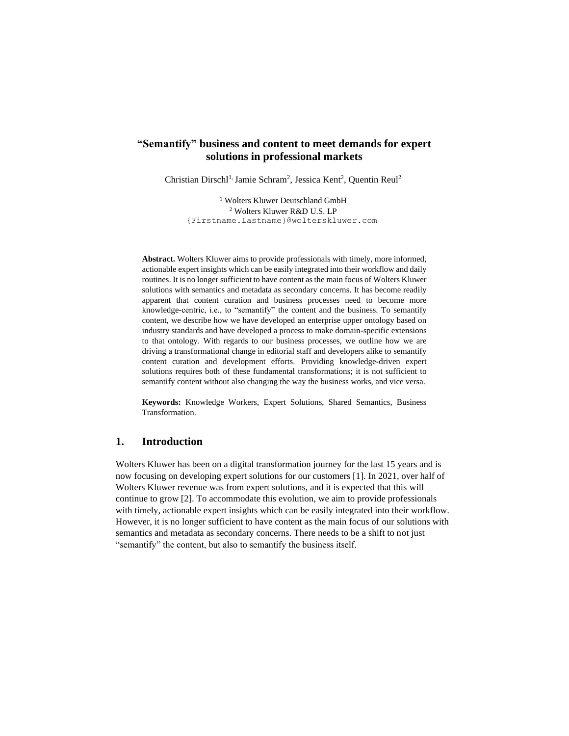# **"Semantify" business and content to meet demands for expert solutions in professional markets**

Christian Dirschl<sup>1,</sup> Jamie Schram<sup>2</sup>, Jessica Kent<sup>2</sup>, Quentin Reul<sup>2</sup>

<sup>1</sup> Wolters Kluwer Deutschland GmbH <sup>2</sup> Wolters Kluwer R&D U.S. LP {Firstname.Lastname}@wolterskluwer.com

**Abstract.** Wolters Kluwer aims to provide professionals with timely, more informed, actionable expert insights which can be easily integrated into their workflow and daily routines. It is no longer sufficient to have content as the main focus of Wolters Kluwer solutions with semantics and metadata as secondary concerns. It has become readily apparent that content curation and business processes need to become more knowledge-centric, i.e., to "semantify" the content and the business. To semantify content, we describe how we have developed an enterprise upper ontology based on industry standards and have developed a process to make domain-specific extensions to that ontology. With regards to our business processes, we outline how we are driving a transformational change in editorial staff and developers alike to semantify content curation and development efforts. Providing knowledge-driven expert solutions requires both of these fundamental transformations; it is not sufficient to semantify content without also changing the way the business works, and vice versa.

**Keywords:** Knowledge Workers, Expert Solutions, Shared Semantics, Business Transformation.

#### **1. Introduction**

Wolters Kluwer has been on a digital transformation journey for the last 15 years and is now focusing on developing expert solutions for our customers [1]. In 2021, over half of Wolters Kluwer revenue was from expert solutions, and it is expected that this will continue to grow [2]. To accommodate this evolution, we aim to provide professionals with timely, actionable expert insights which can be easily integrated into their workflow. However, it is no longer sufficient to have content as the main focus of our solutions with semantics and metadata as secondary concerns. There needs to be a shift to not just "semantify" the content, but also to semantify the business itself.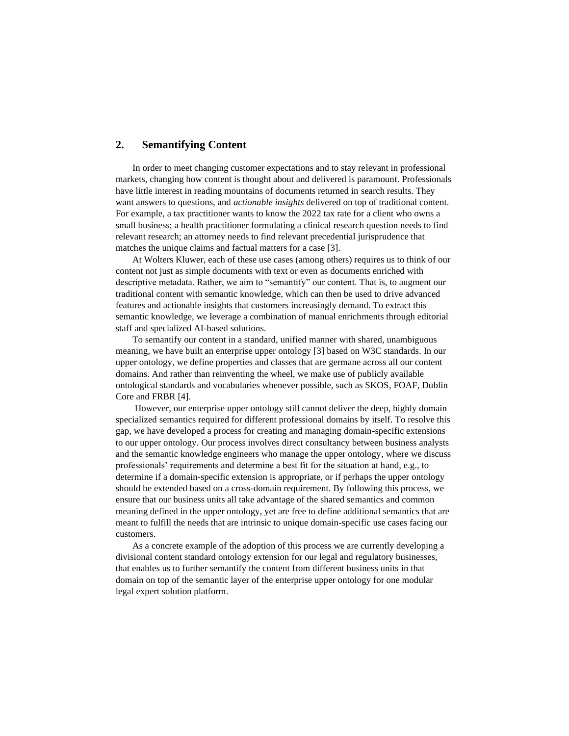### **2. Semantifying Content**

In order to meet changing customer expectations and to stay relevant in professional markets, changing how content is thought about and delivered is paramount. Professionals have little interest in reading mountains of documents returned in search results. They want answers to questions, and *actionable insights* delivered on top of traditional content. For example, a tax practitioner wants to know the 2022 tax rate for a client who owns a small business; a health practitioner formulating a clinical research question needs to find relevant research; an attorney needs to find relevant precedential jurisprudence that matches the unique claims and factual matters for a case [3].

At Wolters Kluwer, each of these use cases (among others) requires us to think of our content not just as simple documents with text or even as documents enriched with descriptive metadata. Rather, we aim to "semantify" our content. That is, to augment our traditional content with semantic knowledge, which can then be used to drive advanced features and actionable insights that customers increasingly demand. To extract this semantic knowledge, we leverage a combination of manual enrichments through editorial staff and specialized AI-based solutions.

To semantify our content in a standard, unified manner with shared, unambiguous meaning, we have built an enterprise upper ontology [3] based on W3C standards. In our upper ontology, we define properties and classes that are germane across all our content domains. And rather than reinventing the wheel, we make use of publicly available ontological standards and vocabularies whenever possible, such as SKOS, FOAF, Dublin Core and FRBR [4].

However, our enterprise upper ontology still cannot deliver the deep, highly domain specialized semantics required for different professional domains by itself. To resolve this gap, we have developed a process for creating and managing domain-specific extensions to our upper ontology. Our process involves direct consultancy between business analysts and the semantic knowledge engineers who manage the upper ontology, where we discuss professionals' requirements and determine a best fit for the situation at hand, e.g., to determine if a domain-specific extension is appropriate, or if perhaps the upper ontology should be extended based on a cross-domain requirement. By following this process, we ensure that our business units all take advantage of the shared semantics and common meaning defined in the upper ontology, yet are free to define additional semantics that are meant to fulfill the needs that are intrinsic to unique domain-specific use cases facing our customers.

As a concrete example of the adoption of this process we are currently developing a divisional content standard ontology extension for our legal and regulatory businesses, that enables us to further semantify the content from different business units in that domain on top of the semantic layer of the enterprise upper ontology for one modular legal expert solution platform.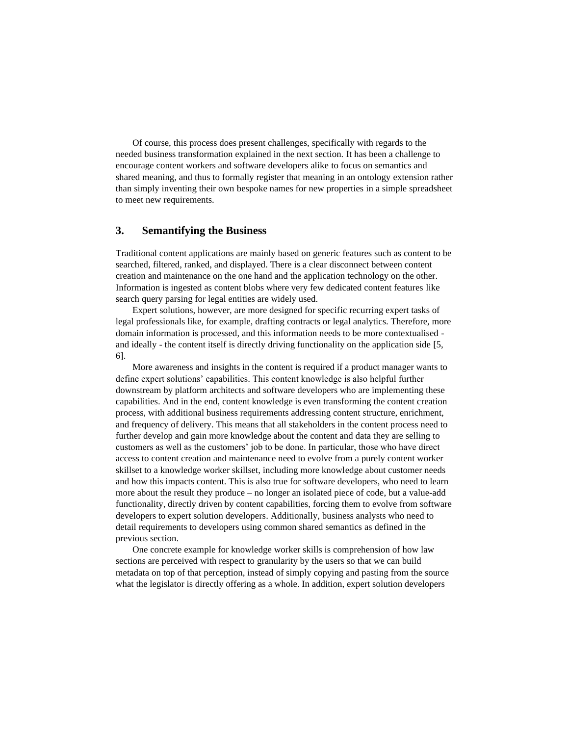Of course, this process does present challenges, specifically with regards to the needed business transformation explained in the next section. It has been a challenge to encourage content workers and software developers alike to focus on semantics and shared meaning, and thus to formally register that meaning in an ontology extension rather than simply inventing their own bespoke names for new properties in a simple spreadsheet to meet new requirements.

## **3. Semantifying the Business**

Traditional content applications are mainly based on generic features such as content to be searched, filtered, ranked, and displayed. There is a clear disconnect between content creation and maintenance on the one hand and the application technology on the other. Information is ingested as content blobs where very few dedicated content features like search query parsing for legal entities are widely used.

Expert solutions, however, are more designed for specific recurring expert tasks of legal professionals like, for example, drafting contracts or legal analytics. Therefore, more domain information is processed, and this information needs to be more contextualised and ideally - the content itself is directly driving functionality on the application side [5, 6].

More awareness and insights in the content is required if a product manager wants to define expert solutions' capabilities. This content knowledge is also helpful further downstream by platform architects and software developers who are implementing these capabilities. And in the end, content knowledge is even transforming the content creation process, with additional business requirements addressing content structure, enrichment, and frequency of delivery. This means that all stakeholders in the content process need to further develop and gain more knowledge about the content and data they are selling to customers as well as the customers' job to be done. In particular, those who have direct access to content creation and maintenance need to evolve from a purely content worker skillset to a knowledge worker skillset, including more knowledge about customer needs and how this impacts content. This is also true for software developers, who need to learn more about the result they produce – no longer an isolated piece of code, but a value-add functionality, directly driven by content capabilities, forcing them to evolve from software developers to expert solution developers. Additionally, business analysts who need to detail requirements to developers using common shared semantics as defined in the previous section.

One concrete example for knowledge worker skills is comprehension of how law sections are perceived with respect to granularity by the users so that we can build metadata on top of that perception, instead of simply copying and pasting from the source what the legislator is directly offering as a whole. In addition, expert solution developers